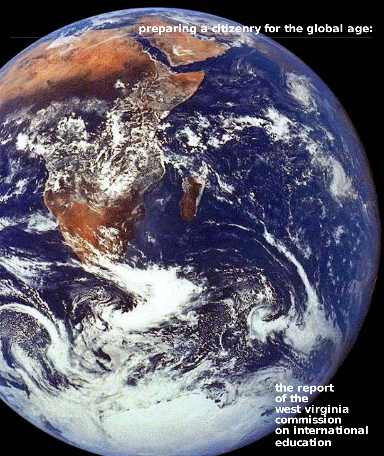#### **preparing a citizenry for the global age:**

**the report of the west virginia commission on international education**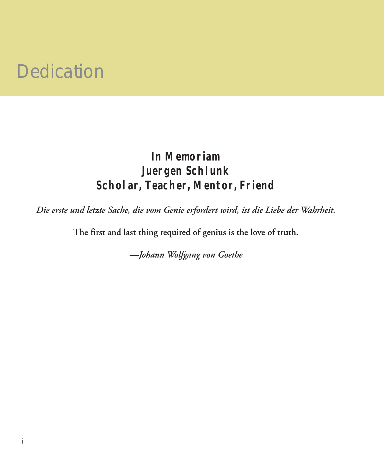#### Dedication

#### **In Memoriam Juergen Schlunk Scholar, Teacher, Mentor, Friend**

*Die erste und letzte Sache, die vom Genie erfordert wird, ist die Liebe der Wahrheit.*

**The first and last thing required of genius is the love of truth.**

*—Johann Wolfgang von Goethe*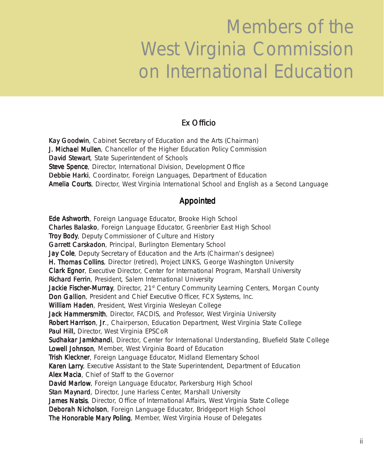## Members of the West Virginia Commission on International Education

#### Ex Officio

Kay Goodwin, Cabinet Secretary of Education and the Arts (Chairman) J. Michael Mullen, Chancellor of the Higher Education Policy Commission David Stewart, State Superintendent of Schools Steve Spence, Director, International Division, Development Office Debbie Harki, Coordinator, Foreign Languages, Department of Education **Amelia Courts**, Director, West Virginia International School and English as a Second Language

#### Appointed

Ede Ashworth, Foreign Language Educator, Brooke High School Charles Balasko, Foreign Language Educator, Greenbrier East High School Troy Body, Deputy Commissioner of Culture and History Garrett Carskadon, Principal, Burlington Elementary School **Jay Cole**, Deputy Secretary of Education and the Arts (Chairman's designee) H. Thomas Collins, Director (retired), Project LINKS, George Washington University **Clark Egnor**, Executive Director, Center for International Program, Marshall University Richard Ferrin, President, Salem International University Jackie Fischer-Murray, Director, 21<sup>st</sup> Century Community Learning Centers, Morgan County Don Gallion, President and Chief Executive Officer, FCX Systems, Inc. William Haden, President, West Virginia Wesleyan College Jack Hammersmith, Director, FACDIS, and Professor, West Virginia University Robert Harrison, Jr., Chairperson, Education Department, West Virginia State College Paul Hill, Director, West Virginia EPSCoR Sudhakar Jamkhandi, Director, Center for International Understanding, Bluefield State College Lowell Johnson, Member, West Virginia Board of Education Trish Kleckner, Foreign Language Educator, Midland Elementary School Karen Larry, Executive Assistant to the State Superintendent, Department of Education Alex Macia, Chief of Staff to the Governor David Marlow, Foreign Language Educator, Parkersburg High School Stan Maynard, Director, June Harless Center, Marshall University James Natsis, Director, Office of International Affairs, West Virginia State College Deborah Nicholson, Foreign Language Educator, Bridgeport High School The Honorable Mary Poling, Member, West Virginia House of Delegates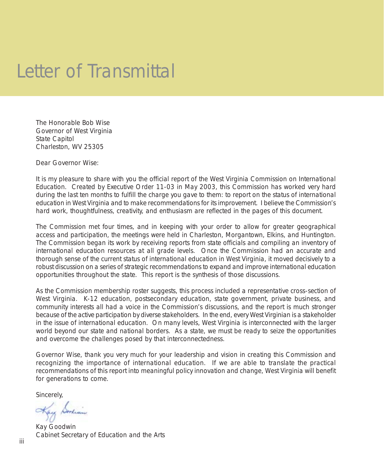#### Letter of Transmittal

The Honorable Bob Wise Governor of West Virginia State Capitol Charleston, WV 25305

Dear Governor Wise:

It is my pleasure to share with you the official report of the West Virginia Commission on International Education. Created by Executive Order 11-03 in May 2003, this Commission has worked very hard during the last ten months to fulfill the charge you gave to them: to report on the status of international education in West Virginia and to make recommendations for its improvement. I believe the Commission's hard work, thoughtfulness, creativity, and enthusiasm are reflected in the pages of this document.

The Commission met four times, and in keeping with your order to allow for greater geographical access and participation, the meetings were held in Charleston, Morgantown, Elkins, and Huntington. The Commission began its work by receiving reports from state officials and compiling an inventory of international education resources at all grade levels. Once the Commission had an accurate and thorough sense of the current status of international education in West Virginia, it moved decisively to a robust discussion on a series of strategic recommendations to expand and improve international education opportunities throughout the state. This report is the synthesis of those discussions.

As the Commission membership roster suggests, this process included a representative cross-section of West Virginia. K-12 education, postsecondary education, state government, private business, and community interests all had a voice in the Commission's discussions, and the report is much stronger because of the active participation by diverse stakeholders. In the end, every West Virginian is a stakeholder in the issue of international education. On many levels, West Virginia is interconnected with the larger world beyond our state and national borders. As a state, we must be ready to seize the opportunities and overcome the challenges posed by that interconnectedness.

Governor Wise, thank you very much for your leadership and vision in creating this Commission and recognizing the importance of international education. If we are able to translate the practical recommendations of this report into meaningful policy innovation and change, West Virginia will benefit for generations to come.

Sincerely,

Kay Dorlini

Kay Goodwin Cabinet Secretary of Education and the Arts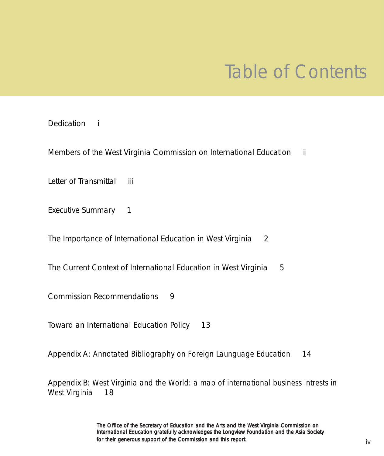### Table of Contents

#### Dedication *i*

Members of the West Virginia Commission on International Education *ii*

Letter of Transmittal *iii*

Executive Summary 1

The Importance of International Education in West Virginia 2

The Current Context of International Education in West Virginia 5

Commission Recommendations 9

Toward an International Education Policy 13

Appendix A: *Annotated Bibliography on Foreign Launguage Education* 14

Appendix B: *West Virginia and the World: a map of international business intrests in West Virginia* 18

> The Office of the Secretary of Education and the Arts and the West Virginia Commission on International Education gratefully acknowledges the Longview Foundation and the Asia Society for their generous support of the Commission and this report.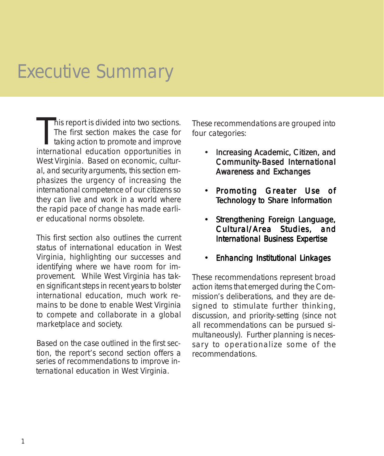### Executive Summary

This report is divided into two sections.<br>The first section makes the case for<br>taking action to promote and improve<br>international education opportunities in his report is divided into two sections. The first section makes the case for taking action to promote and improve West Virginia. Based on economic, cultural, and security arguments, this section emphasizes the urgency of increasing the international competence of our citizens so they can live and work in a world where the rapid pace of change has made earlier educational norms obsolete.

This first section also outlines the current status of international education in West Virginia, highlighting our successes and identifying where we have room for improvement. While West Virginia has taken significant steps in recent years to bolster international education, much work remains to be done to enable West Virginia to compete and collaborate in a global marketplace and society.

Based on the case outlined in the first section, the report's second section offers a series of recommendations to improve international education in West Virginia.

These recommendations are grouped into four categories:

- Increasing Academic, Citizen, and Community-Based International Awareness and Exchanges
- Promoting Greater Use of Technology to Share Information
- Strengthening Foreign Language, Cultural/Area Studies, and International Business Expertise
- Enhancing Institutional Linkages

These recommendations represent broad action items that emerged during the Commission's deliberations, and they are designed to stimulate further thinking, discussion, and priority-setting (since not all recommendations can be pursued simultaneously). Further planning is necessary to operationalize some of the recommendations.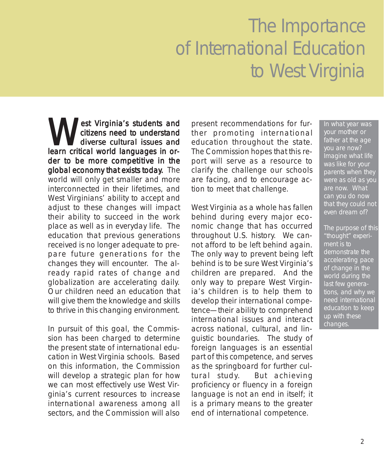# The Importance of International Education to West Virginia

est Virginia's students and citizens need to understand diverse cultural issues and learn critical world languages in order to be more competitive in the global economy that exists today. The world will only get smaller and more interconnected in their lifetimes, and West Virginians' ability to accept and adjust to these changes will impact their ability to succeed in the work place as well as in everyday life. The education that previous generations received is no longer adequate to prepare future generations for the changes they will encounter. The already rapid rates of change and globalization are accelerating daily. Our children need an education that will give them the knowledge and skills to thrive in this changing environment.

In pursuit of this goal, the Commission has been charged to determine the present state of international education in West Virginia schools. Based on this information, the Commission will develop a strategic plan for how we can most effectively use West Virginia's current resources to increase international awareness among all sectors, and the Commission will also

present recommendations for further promoting international education throughout the state. The Commission hopes that this report will serve as a resource to clarify the challenge our schools are facing, and to encourage action to meet that challenge.

West Virginia as a whole has fallen behind during every major economic change that has occurred throughout U.S. history. We cannot afford to be left behind again. The only way to prevent being left behind is to be sure West Virginia's children are prepared. And the only way to prepare West Virginia's children is to help them to develop their international competence—their ability to comprehend international issues and interact across national, cultural, and linguistic boundaries. The study of foreign languages is an essential part of this competence, and serves as the springboard for further cultural study. But achieving proficiency or fluency in a foreign language is not an end in itself; it is a primary means to the greater end of international competence.

In what year was your mother or father at the age you are now? Imagine what life was like for your parents when they were as old as you are now. What can you do now that they could not even dream of?

The purpose of this "thought" experiment is to demonstrate the accelerating pace of change in the world during the last few generations, and why we need international education to keep up with these changes.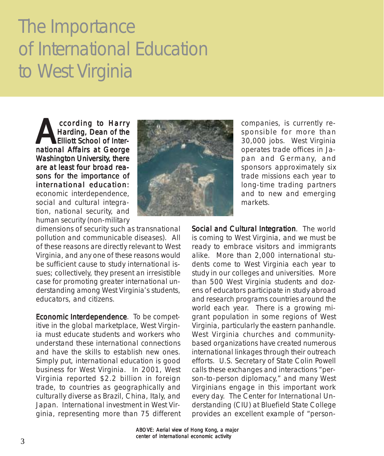# The Importance of International Education to West Virginia

ccording to Harry<br>Harding, Dean of the<br>Elliott School of Inter-<br>pational Affairs at George Harding, Dean of the **Elliott School of Inter**national Affairs at George Washington University, there are at least four broad reasons for the importance of international education: economic interdependence, social and cultural integration, national security, and human security (non-military



companies, is currently responsible for more than 30,000 jobs. West Virginia operates trade offices in Japan and Germany, and sponsors approximately six trade missions each year to long-time trading partners and to new and emerging markets.

dimensions of security such as transnational pollution and communicable diseases). All of these reasons are directly relevant to West Virginia, and any one of these reasons would be sufficient cause to study international issues; collectively, they present an irresistible case for promoting greater international understanding among West Virginia's students, educators, and citizens.

Economic Interdependence. To be competitive in the global marketplace, West Virginia must educate students and workers who understand these international connections and have the skills to establish new ones. Simply put, international education is good business for West Virginia. In 2001, West Virginia reported \$2.2 billion in foreign trade, to countries as geographically and culturally diverse as Brazil, China, Italy, and Japan. International investment in West Virginia, representing more than 75 different

Social and Cultural Integration. The world is coming to West Virginia, and we must be ready to embrace visitors and immigrants alike. More than 2,000 international students come to West Virginia each year to study in our colleges and universities. More than 500 West Virginia students and dozens of educators participate in study abroad and research programs countries around the world each year. There is a growing migrant population in some regions of West Virginia, particularly the eastern panhandle. West Virginia churches and communitybased organizations have created numerous international linkages through their outreach efforts. U.S. Secretary of State Colin Powell calls these exchanges and interactions "person-to-person diplomacy," and many West Virginians engage in this important work every day. The Center for International Understanding (CIU) at Bluefield State College provides an excellent example of "person-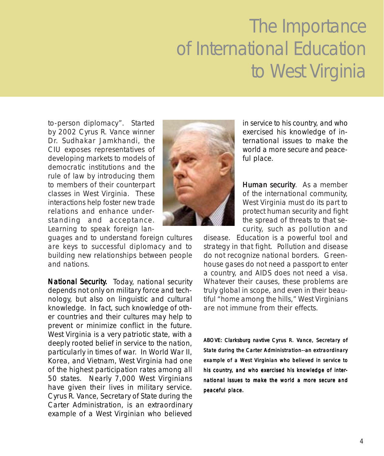# The Importance of International Education to West Virginia

to-person diplomacy". Started by 2002 Cyrus R. Vance winner Dr. Sudhakar Jamkhandi, the CIU exposes representatives of developing markets to models of democratic institutions and the rule of law by introducing them to members of their counterpart classes in West Virginia. These interactions help foster new trade relations and enhance understanding and acceptance. Learning to speak foreign lan-



guages and to understand foreign cultures are keys to successful diplomacy and to building new relationships between people and nations.

National Security. Today, national security depends not only on military force and technology, but also on linguistic and cultural knowledge. In fact, such knowledge of other countries and their cultures may help to prevent or minimize conflict in the future. West Virginia is a very patriotic state, with a deeply rooted belief in service to the nation, particularly in times of war. In World War II, Korea, and Vietnam, West Virginia had one of the highest participation rates among all 50 states. Nearly 7,000 West Virginians have given their lives in military service. Cyrus R. Vance, Secretary of State during the Carter Administration, is an extraordinary example of a West Virginian who believed in service to his country, and who exercised his knowledge of international issues to make the world a more secure and peaceful place.

Human security. As a member of the international community, West Virginia must do its part to protect human security and fight the spread of threats to that security, such as pollution and

disease. Education is a powerful tool and strategy in that fight. Pollution and disease do not recognize national borders. Greenhouse gases do not need a passport to enter a country, and AIDS does not need a visa. Whatever their causes, these problems are truly global in scope, and even in their beautiful "home among the hills," West Virginians are not immune from their effects.

*ABOVE: Clarksburg navtive Cyrus R. Vance, Secretary of State during the Carter Administration--an extraordinary example of a West Virginian who believed in service to his country, and who exercised his knowledge of international issues to make the world a more secure and peaceful place.*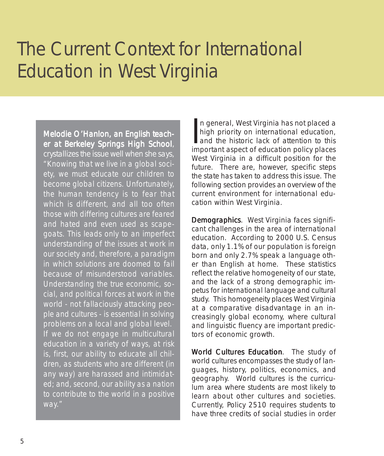Melodie O'Hanlon, an English teacher at Berkeley Springs High School, crystallizes the issue well when she says, *"Knowing that we live in a global society, we must educate our children to become global citizens. Unfortunately, the human tendency is to fear that which is different, and all too often those with differing cultures are feared and hated and even used as scapegoats. This leads only to an imperfect understanding of the issues at work in our society and, therefore, a paradigm in which solutions are doomed to fail because of misunderstood variables. Understanding the true economic, social, and political forces at work in the world - not fallaciously attacking people and cultures - is essential in solving problems on a local and global level. If we do not engage in multicultural education in a variety of ways, at risk is, first, our ability to educate all children, as students who are different (in any way) are harassed and intimidated; and, second, our ability as a nation to contribute to the world in a positive way."*

In general, West Virginia has not placed a<br>high priority on international education,<br>and the historic lack of attention to this<br>important aspect of education policy places n general, West Virginia has not placed a high priority on international education, important aspect of education policy places West Virginia in a difficult position for the future. There are, however, specific steps the state has taken to address this issue. The following section provides an overview of the current environment for international education within West Virginia.

Demographics. West Virginia faces significant challenges in the area of international education. According to 2000 U.S. Census data, only 1.1% of our population is foreign born and only 2.7% speak a language other than English at home. These statistics reflect the relative homogeneity of our state, and the lack of a strong demographic impetus for international language and cultural study. This homogeneity places West Virginia at a comparative disadvantage in an increasingly global economy, where cultural and linguistic fluency are important predictors of economic growth.

World Cultures Education. The study of world cultures encompasses the study of languages, history, politics, economics, and geography. World cultures is the curriculum area where students are most likely to learn about other cultures and societies. Currently, Policy 2510 requires students to have three credits of social studies in order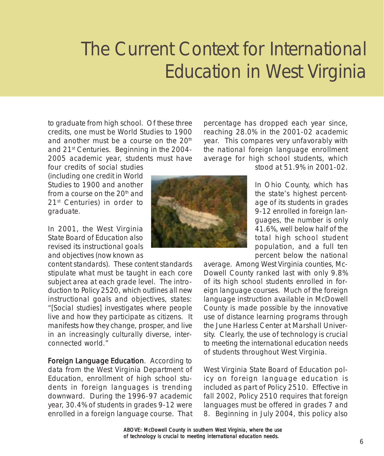to graduate from high school. Of these three credits, one must be World Studies to 1900 and another must be a course on the  $20<sup>th</sup>$ and 21st Centuries. Beginning in the 2004- 2005 academic year, students must have

four credits of social studies (including one credit in World Studies to 1900 and another from a course on the  $20<sup>th</sup>$  and 21st Centuries) in order to graduate.

In 2001, the West Virginia State Board of Education also revised its instructional goals and objectives (now known as

content standards). These content standards stipulate what must be taught in each core subject area at each grade level. The introduction to Policy 2520, which outlines all new instructional goals and objectives, states: "[Social studies] investigates where people live and how they participate as citizens. It manifests how they change, prosper, and live in an increasingly culturally diverse, interconnected world."

Foreign Language Education. According to data from the West Virginia Department of Education, enrollment of high school students in foreign languages is trending downward. During the 1996-97 academic year, 30.4% of students in grades 9-12 were enrolled in a foreign language course. That

percentage has dropped each year since, reaching 28.0% in the 2001-02 academic year. This compares very unfavorably with the national foreign language enrollment average for high school students, which



stood at 51.9% in 2001-02.

In Ohio County, which has the state's highest percentage of its students in grades 9-12 enrolled in foreign languages, the number is only 41.6%, well below half of the total high school student population, and a full ten percent below the national

average. Among West Virginia counties, Mc-Dowell County ranked last with only 9.8% of its high school students enrolled in foreign language courses. Much of the foreign language instruction available in McDowell County is made possible by the innovative use of distance learning programs through the June Harless Center at Marshall University. Clearly, the use of technology is crucial to meeting the international education needs of students throughout West Virginia.

West Virginia State Board of Education policy on foreign language education is included as part of Policy 2510. Effective in fall 2002, Policy 2510 requires that foreign languages must be offered in grades 7 and 8. Beginning in July 2004, this policy also

*ABOVE: McDowell County in southern West Virginia, where the use of technology is crucial to meeting international education needs.*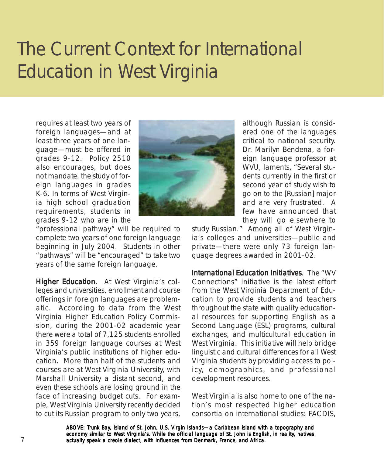requires at least two years of foreign languages—and at least three years of one language—must be offered in grades 9-12. Policy 2510 also encourages, but does not mandate, the study of foreign languages in grades K-6. In terms of West Virginia high school graduation requirements, students in grades 9-12 who are in the



"professional pathway" will be required to complete two years of one foreign language beginning in July 2004. Students in other "pathways" will be "encouraged" to take two years of the same foreign language.

Higher Education. At West Virginia's colleges and universities, enrollment and course offerings in foreign languages are problematic. According to data from the West Virginia Higher Education Policy Commission, during the 2001-02 academic year there were a total of 7,125 students enrolled in 359 foreign language courses at West Virginia's public institutions of higher education. More than half of the students and courses are at West Virginia University, with Marshall University a distant second, and even these schools are losing ground in the face of increasing budget cuts. For example, West Virginia University recently decided to cut its Russian program to only two years,

although Russian is considered one of the languages critical to national security. Dr. Marilyn Bendena, a foreign language professor at WVU, laments, "Several students currently in the first or second year of study wish to go on to the [Russian] major and are very frustrated. A few have announced that they will go elsewhere to

study Russian." Among all of West Virginia's colleges and universities—public and private—there were only 73 foreign language degrees awarded in 2001-02.

International Education Initiatives. The "WV Connections" initiative is the latest effort from the West Virginia Department of Education to provide students and teachers throughout the state with quality educational resources for supporting English as a Second Language (ESL) programs, cultural exchanges, and multicultural education in West Virginia. This initiative will help bridge linguistic and cultural differences for all West Virginia students by providing access to policy, demographics, and professional development resources.

West Virginia is also home to one of the nation's most respected higher education consortia on international studies: FACDIS,

*ABOVE: Trunk Bay, Island of St. John, U.S. Virgin Islands—a Caribbean island with a topography and economy similar to West Virginia's. While the official language of St. John is English, in reality, natives* 7 *actually speak a creole dialect, with influences from Denmark, France, and Africa.*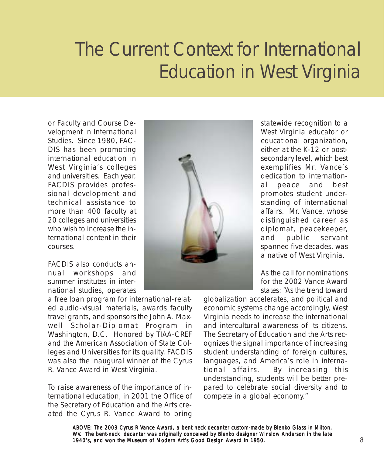or Faculty and Course Development in International Studies. Since 1980, FAC-DIS has been promoting international education in West Virginia's colleges and universities. Each year, FACDIS provides professional development and technical assistance to more than 400 faculty at 20 colleges and universities who wish to increase the international content in their courses.

FACDIS also conducts annual workshops and summer institutes in international studies, operates

a free loan program for international-related audio-visual materials, awards faculty travel grants, and sponsors the John A. Maxwell Scholar-Diplomat Program in Washington, D.C. Honored by TIAA-CREF and the American Association of State Colleges and Universities for its quality, FACDIS was also the inaugural winner of the Cyrus R. Vance Award in West Virginia.

To raise awareness of the importance of international education, in 2001 the Office of the Secretary of Education and the Arts created the Cyrus R. Vance Award to bring



statewide recognition to a West Virginia educator or educational organization, either at the K-12 or postsecondary level, which best exemplifies Mr. Vance's dedication to international peace and best promotes student understanding of international affairs. Mr. Vance, whose distinguished career as diplomat, peacekeeper, and public servant spanned five decades, was a native of West Virginia.

As the call for nominations for the 2002 Vance Award states: "As the trend toward

globalization accelerates, and political and economic systems change accordingly, West Virginia needs to increase the international and intercultural awareness of its citizens. The Secretary of Education and the Arts recognizes the signal importance of increasing student understanding of foreign cultures, languages, and America's role in international affairs. By increasing this understanding, students will be better prepared to celebrate social diversity and to compete in a global economy."

*ABOVE: The 2003 Cyrus R Vance Award, a bent neck decanter custom-made by Blenko Glass in Milton, WV. The bent-neck decanter was originally conceived by Blenko designer Winslow Anderson in the late 1940's, and won the Museum of Modern Art's Good Design Award in 1950.* 8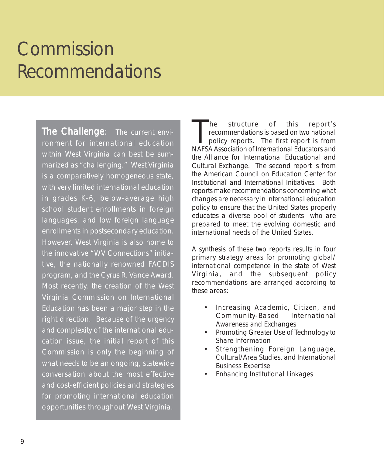The Challenge: The current environment for international education within West Virginia can best be summarized as "challenging." West Virginia is a comparatively homogeneous state, with very limited international education in grades K-6, below-average high school student enrollments in foreign languages, and low foreign language enrollments in postsecondary education. However, West Virginia is also home to the innovative "WV Connections" initiative, the nationally renowned FACDIS program, and the Cyrus R. Vance Award. Most recently, the creation of the West Virginia Commission on International Education has been a major step in the right direction. Because of the urgency and complexity of the international education issue, the initial report of this Commission is only the beginning of what needs to be an ongoing, statewide conversation about the most effective and cost-efficient policies and strategies for promoting international education opportunities throughout West Virginia.

The structure of this report's<br>recommendations is based on two national<br>policy reports. The first report is from recommendations is based on two national policy reports. The first report is from NAFSA Association of International Educators and the Alliance for International Educational and Cultural Exchange. The second report is from the American Council on Education Center for Institutional and International Initiatives. Both reports make recommendations concerning what changes are necessary in international education policy to ensure that the United States properly educates a diverse pool of students who are prepared to meet the evolving domestic and international needs of the United States.

A synthesis of these two reports results in four primary strategy areas for promoting global/ international competence in the state of West Virginia, and the subsequent policy recommendations are arranged according to these areas:

- Increasing Academic, Citizen, and Community-Based International Awareness and Exchanges
- Promoting Greater Use of Technology to Share Information
- Strengthening Foreign Language, Cultural/Area Studies, and International Business Expertise
- Enhancing Institutional Linkages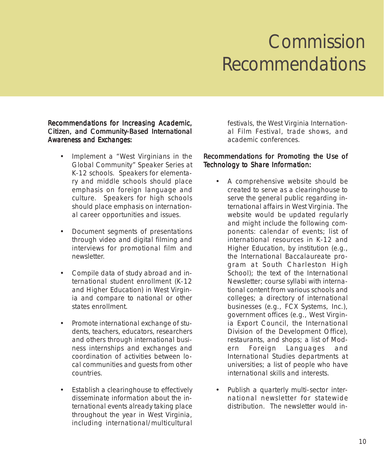#### Recommendations for Increasing Academic, Citizen, and Community-Based International Awareness and Exchanges:

- Implement a "West Virginians in the Global Community" Speaker Series at K-12 schools. Speakers for elementary and middle schools should place emphasis on foreign language and culture. Speakers for high schools should place emphasis on international career opportunities and issues.
- Document segments of presentations through video and digital filming and interviews for promotional film and newsletter.
- Compile data of study abroad and international student enrollment (K-12 and Higher Education) in West Virginia and compare to national or other states enrollment.
- Promote international exchange of students, teachers, educators, researchers and others through international business internships and exchanges and coordination of activities between local communities and guests from other countries.
- Establish a clearinghouse to effectively disseminate information about the international events already taking place throughout the year in West Virginia, including international/multicultural

festivals, the West Virginia International Film Festival, trade shows, and academic conferences.

#### Recommendations for Promoting the Use of Technology to Share Information:

- A comprehensive website should be created to serve as a clearinghouse to serve the general public regarding international affairs in West Virginia. The website would be updated regularly and might include the following components: calendar of events; list of international resources in K-12 and Higher Education, by institution (e.g., the International Baccalaureate program at South Charleston High School); the text of the International Newsletter; course syllabi with international content from various schools and colleges; a directory of international businesses (e.g., FCX Systems, Inc.), government offices (e.g., West Virginia Export Council, the International Division of the Development Office), restaurants, and shops; a list of Modern Foreign Languages and International Studies departments at universities; a list of people who have international skills and interests.
- Publish a quarterly multi-sector international newsletter for statewide distribution. The newsletter would in-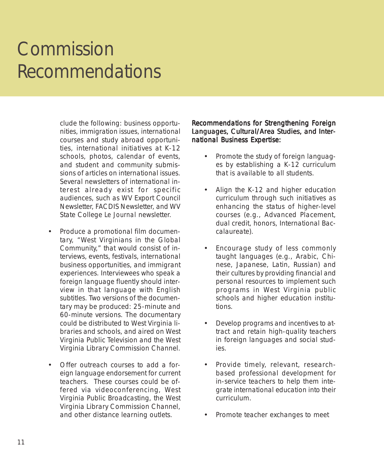clude the following: business opportunities, immigration issues, international courses and study abroad opportunities, international initiatives at K-12 schools, photos, calendar of events, and student and community submissions of articles on international issues. Several newsletters of international interest already exist for specific audiences, such as WV Export Council Newsletter, FACDIS Newsletter, and WV State College *Le Journal* newsletter.

- Produce a promotional film documentary, "West Virginians in the Global Community," that would consist of interviews, events, festivals, international business opportunities, and immigrant experiences. Interviewees who speak a foreign language fluently should interview in that language with English subtitles. Two versions of the documentary may be produced: 25-minute and 60-minute versions. The documentary could be distributed to West Virginia libraries and schools, and aired on West Virginia Public Television and the West Virginia Library Commission Channel.
- Offer outreach courses to add a foreign language endorsement for current teachers. These courses could be offered via videoconferencing, West Virginia Public Broadcasting, the West Virginia Library Commission Channel, and other distance learning outlets.

#### Recommendations for Strengthening Foreign Languages, Cultural/Area Studies, and International Business Expertise:

- Promote the study of foreign languages by establishing a K-12 curriculum that is available to all students.
- Align the K-12 and higher education curriculum through such initiatives as enhancing the status of higher-level courses (e.g., Advanced Placement, dual credit, honors, International Baccalaureate).
- Encourage study of less commonly taught languages (e.g., Arabic, Chinese, Japanese, Latin, Russian) and their cultures by providing financial and personal resources to implement such programs in West Virginia public schools and higher education institutions.
- Develop programs and incentives to attract and retain high-quality teachers in foreign languages and social studies.
- Provide timely, relevant, researchbased professional development for in-service teachers to help them integrate international education into their curriculum.
- Promote teacher exchanges to meet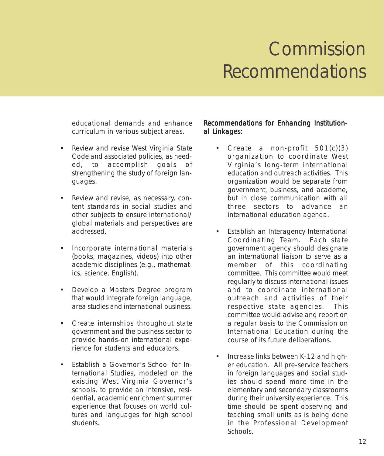educational demands and enhance curriculum in various subject areas.

- Review and revise West Virginia State Code and associated policies, as needed, to accomplish goals of strengthening the study of foreign languages.
- Review and revise, as necessary, content standards in social studies and other subjects to ensure international/ global materials and perspectives are addressed.
- Incorporate international materials (books, magazines, videos) into other academic disciplines (e.g., mathematics, science, English).
- Develop a Masters Degree program that would integrate foreign language, area studies and international business.
- Create internships throughout state government and the business sector to provide hands-on international experience for students and educators.
- Establish a Governor's School for International Studies, modeled on the existing West Virginia Governor's schools, to provide an intensive, residential, academic enrichment summer experience that focuses on world cultures and languages for high school students.

#### Recommendations for Enhancing Institutional Linkages:

- Create a non-profit  $501(c)(3)$ organization to coordinate West Virginia's long-term international education and outreach activities. This organization would be separate from government, business, and academe, but in close communication with all three sectors to advance an international education agenda.
- Establish an Interagency International Coordinating Team. Each state government agency should designate an international liaison to serve as a member of this coordinating committee. This committee would meet regularly to discuss international issues and to coordinate international outreach and activities of their respective state agencies. This committee would advise and report on a regular basis to the Commission on International Education during the course of its future deliberations.
- Increase links between K-12 and higher education. All pre-service teachers in foreign languages and social studies should spend more time in the elementary and secondary classrooms during their university experience. This time should be spent observing and teaching small units as is being done in the Professional Development Schools.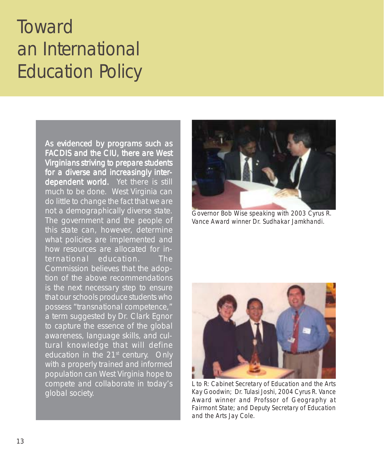## **Toward** an International Education Policy

As evidenced by programs such as FACDIS and the CIU, there are West Virginians striving to prepare students for a diverse and increasingly interdependent world. Yet there is still much to be done. West Virginia can do little to change the fact that we are not a demographically diverse state. The government and the people of this state can, however, determine what policies are implemented and how resources are allocated for international education. The Commission believes that the adoption of the above recommendations is the next necessary step to ensure that our schools produce students who possess "transnational competence," a term suggested by Dr. Clark Egnor to capture the essence of the global awareness, language skills, and cultural knowledge that will define education in the  $21<sup>st</sup>$  century. Only with a properly trained and informed population can West Virginia hope to compete and collaborate in today's global society.



*Governor Bob Wise speaking with 2003 Cyrus R. Vance Award winner Dr. Sudhakar Jamkhandi.*



*L to R: Cabinet Secretary of Education and the Arts Kay Goodwin; Dr. Tulasi Joshi, 2004 Cyrus R. Vance Award winner and Profssor of Geography at Fairmont State; and Deputy Secretary of Education and the Arts Jay Cole.*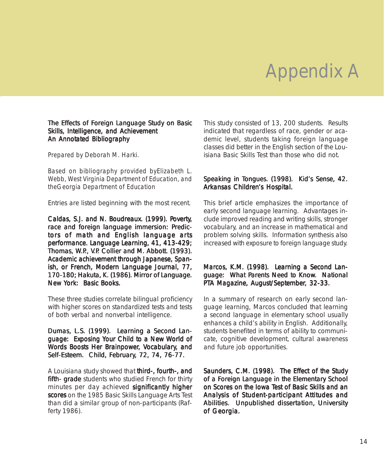#### The Effects of Foreign Language Study on Basic Skills, Intelligence, and Achievement An Annotated Bibliography

*Prepared by Deborah M. Harki.*

*Based on bibliography provided byElizabeth L. Webb, West Virginia Department of Education, and theGeorgia Department of Education*

Entries are listed beginning with the most recent.

Caldas, S.J. and N. Boudreaux. (1999). Poverty, race and foreign language immersion: Predictors of math and English language arts performance. Language Learning, 41, 413-429; Thomas, W.P., V.P. Collier and M. Abbott. (1993). Academic achievement through Japanese, Spanish, or French, Modern Language Journal, 77, 170-180; Hakuta, K. (1986). Mirror of Language. New York: Basic Books.

These three studies correlate bilingual proficiency with higher scores on standardized tests and tests of both verbal and nonverbal intelligence.

Dumas, L.S. (1999). Learning a Second Language: Exposing Your Child to a New World of Words Boosts Her Brainpower, Vocabulary, and Self-Esteem. Child, February, 72, 74, 76-77.

A Louisiana study showed that third-, fourth-, and fifth- grade students who studied French for thirty minutes per day achieved significantly higher scores on the 1985 Basic Skills Language Arts Test than did a similar group of non-participants (Rafferty 1986).

This study consisted of 13, 200 students. Results indicated that regardless of race, gender or academic level, students taking foreign language classes did better in the English section of the Louisiana Basic Skills Test than those who did not.

#### Speaking in Tongues. (1998). Kid's Sense, 42. Arkansas Children's Hospital.

This brief article emphasizes the importance of early second language learning. Advantages include improved reading and writing skills, stronger vocabulary, and an increase in mathematical and problem solving skills. Information synthesis also increased with exposure to foreign language study.

#### Marcos, K.M. (1998). Learning a Second Language: What Parents Need to Know. National PTA Magazine, August/September, 32-33.

In a summary of research on early second language learning, Marcos concluded that learning a second language in elementary school usually enhances a child's ability in English. Additionally, students benefited in terms of ability to communicate, cognitive development, cultural awareness and future job opportunities.

Saunders, C.M. (1998). The Effect of the Study of a Foreign Language in the Elementary School on Scores on the Iowa Test of Basic Skills and an Analysis of Student-participant Attitudes and Abilities. Unpublished dissertation, University of Georgia.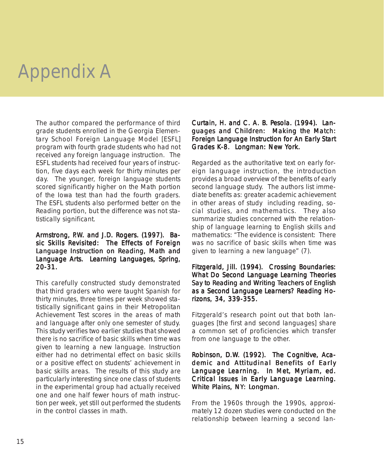The author compared the performance of third grade students enrolled in the Georgia Elementary School Foreign Language Model [ESFL] program with fourth grade students who had not received any foreign language instruction. The ESFL students had received four years of instruction, five days each week for thirty minutes per day. The younger, foreign language students scored significantly higher on the Math portion of the Iowa test than had the fourth graders. The ESFL students also performed better on the Reading portion, but the difference was not statistically significant.

#### Armstrong, P.W. and J.D. Rogers. (1997). Basic Skills Revisited: The Effects of Foreign Language Instruction on Reading, Math and Language Arts. Learning Languages, Spring, 20-31.

This carefully constructed study demonstrated that third graders who were taught Spanish for thirty minutes, three times per week showed statistically significant gains in their Metropolitan Achievement Test scores in the areas of math and language after only one semester of study. This study verifies two earlier studies that showed there is no sacrifice of basic skills when time was given to learning a new language. Instruction either had no detrimental effect on basic skills or a positive effect on students' achievement in basic skills areas. The results of this study are particularly interesting since one class of students in the experimental group had actually received one and one half fewer hours of math instruction per week, yet still out performed the students in the control classes in math.

#### Curtain, H. and C. A. B. Pesola. (1994). Languages and Children: Making the Match: Foreign Language Instruction for An Early Start Grades K-8. Longman: New York.

Regarded as the authoritative text on early foreign language instruction, the introduction provides a broad overview of the benefits of early second language study. The authors list immediate benefits as: greater academic achievement in other areas of study including reading, social studies, and mathematics. They also summarize studies concerned with the relationship of language learning to English skills and mathematics: "The evidence is consistent: There was no sacrifice of basic skills when time was given to learning a new language" (7).

#### Fitzgerald, Jill. (1994). Crossing Boundaries: What Do Second Language Learning Theories Say to Reading and Writing Teachers of English as a Second Language Learners? Reading Horizons, 34, 339-355.

Fitzgerald's research point out that both languages [the first and second languages] share a common set of proficiencies which transfer from one language to the other.

#### Robinson, D.W. (1992). The Cognitive, Academic and Attitudinal Benefits of Early Language Learning. In Met, Myriam, ed. Critical Issues in Early Language Learning. White Plains, NY: Longman.

From the 1960s through the 1990s, approximately 12 dozen studies were conducted on the relationship between learning a second lan-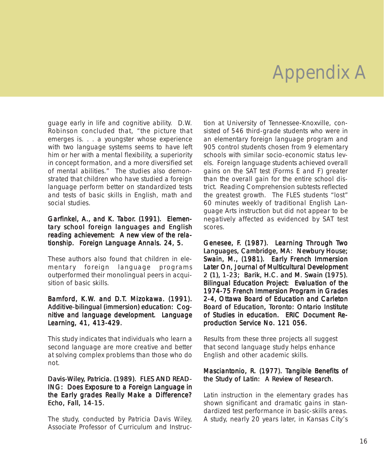guage early in life and cognitive ability. D.W. Robinson concluded that, "the picture that emerges is. . . a youngster whose experience with two language systems seems to have left him or her with a mental flexibility, a superiority in concept formation, and a more diversified set of mental abilities." The studies also demonstrated that children who have studied a foreign language perform better on standardized tests and tests of basic skills in English, math and social studies.

#### Garfinkel, A., and K. Tabor. (1991). Elementary school foreign languages and English reading achievement: A new view of the relationship. Foreign Language Annals. 24, 5.

These authors also found that children in elementary foreign language programs outperformed their monolingual peers in acquisition of basic skills.

#### Bamford, K.W. and D.T. Mizokawa. (1991). Additive-bilingual (immersion) education: Cognitive and language development. Language Learning, 41, 413-429.

This study indicates that individuals who learn a second language are more creative and better at solving complex problems than those who do not.

#### Davis-Wiley, Patricia. (1989). FLES AND READ-ING: Does Exposure to a Foreign Language in the Early grades Really Make a Difference? Echo, Fall, 14-15.

The study, conducted by Patricia Davis Wiley, Associate Professor of Curriculum and Instruction at University of Tennessee-Knoxville, consisted of 546 third-grade students who were in an elementary foreign language program and 905 control students chosen from 9 elementary schools with similar socio-economic status levels. Foreign language students achieved overall gains on the SAT test (Forms E and F) greater than the overall gain for the entire school district. Reading Comprehension subtests reflected the greatest growth. The FLES students "lost" 60 minutes weekly of traditional English Language Arts instruction but did not appear to be negatively affected as evidenced by SAT test scores.

Genesee, F. (1987). Learning Through Two Languages, Cambridge, MA: Newbury House; Swain, M., (1981). Early French Immersion Later On, Journal of Multicultural Development 2 (1), 1-23; Barik, H.C. and M. Swain (1975). Bilingual Education Project: Evaluation of the 1974-75 French Immersion Program in Grades 2-4, Ottawa Board of Education and Carleton Board of Education, Toronto: Ontario Institute of Studies in education. ERIC Document Reproduction Service No. 121 056.

Results from these three projects all suggest that second language study helps enhance English and other academic skills.

#### Masciantonio, R. (1977). Tangible Benefits of the Study of Latin: A Review of Research.

Latin instruction in the elementary grades has shown significant and dramatic gains in standardized test performance in basic-skills areas. A study, nearly 20 years later, in Kansas City's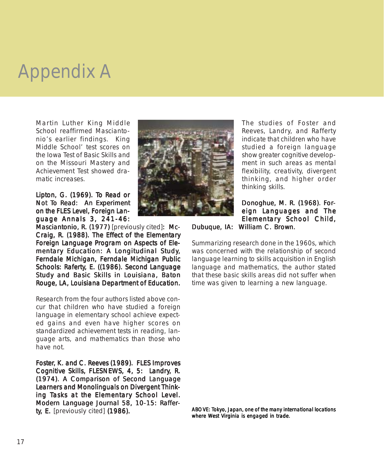Martin Luther King Middle School reaffirmed Masciantonio's earlier findings. King Middle School' test scores on the Iowa Test of Basic Skills and on the Missouri Mastery and Achievement Test showed dramatic increases.

Lipton, G. (1969). To Read or Not To Read: An Experiment on the FLES Level, Foreign Language Annals 3, 241-46:

Masciantonio, R. (1977) [previously cited]: Mc-Craig, R. (1988). The Effect of the Elementary Foreign Language Program on Aspects of Elementary Education: A Longitudinal Study, Ferndale Michigan, Ferndale Michigan Public Schools: Raferty, E. ((1986). Second Language Study and Basic Skills in Louisiana, Baton Rouge, LA, Louisiana Department of Education.

Research from the four authors listed above concur that children who have studied a foreign language in elementary school achieve expected gains and even have higher scores on standardized achievement tests in reading, language arts, and mathematics than those who have not.

Foster, K. and C. Reeves (1989). FLES Improves Cognitive Skills, FLESNEWS, 4, 5: Landry, R. (1974). A Comparison of Second Language Learners and Monolinguals on Divergent Thinking Tasks at the Elementary School Level. Modern Language Journal 58, 10-15: Rafferty, E. [previously cited] (1986).



The studies of Foster and Reeves, Landry, and Rafferty indicate that children who have studied a foreign language show greater cognitive development in such areas as mental flexibility, creativity, divergent thinking, and higher order thinking skills.

Donoghue, M. R. (1968). Foreign Languages and The Elementary School Child, Dubuque, IA: William C. Brown.

Summarizing research done in the 1960s, which was concerned with the relationship of second language learning to skills acquisition in English language and mathematics, the author stated that these basic skills areas did not suffer when time was given to learning a new language.

*ABOVE: Tokyo, Japan, one of the many international locations where West Virginia is engaged in trade.*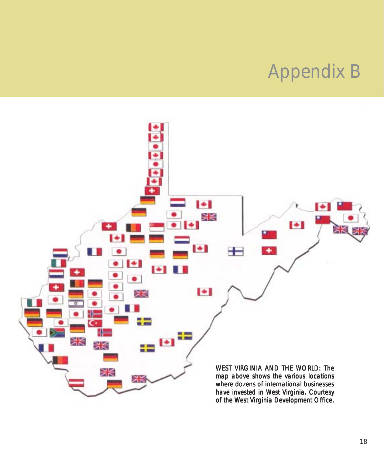### Appendix B